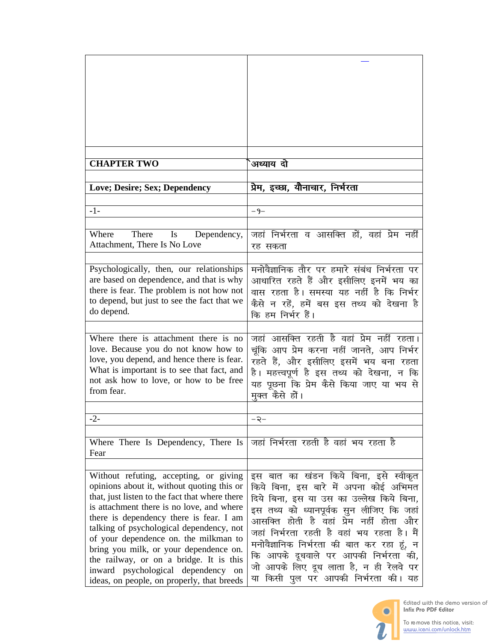| <b>CHAPTER TWO</b>                                                                   | अध्याय दो                                                                            |
|--------------------------------------------------------------------------------------|--------------------------------------------------------------------------------------|
|                                                                                      |                                                                                      |
| Love; Desire; Sex; Dependency                                                        | प्रेम, इच्छा, यौनाचार, निर्भरता                                                      |
|                                                                                      |                                                                                      |
| $-1-$                                                                                | $-9-$                                                                                |
| There<br>$\mathbf{I}$ s<br>Where<br>Dependency,                                      | जहां निर्भरता व आसक्ति हों, वहां प्रेम नहीं                                          |
| Attachment, There Is No Love                                                         | रह सकता                                                                              |
|                                                                                      |                                                                                      |
| Psychologically, then, our relationships                                             | मनोवैज्ञानिक तौर पर हमारे संबंध निर्भरता पर                                          |
| are based on dependence, and that is why                                             | आधारित रहते हैं और इसीलिए इनमें भय का                                                |
| there is fear. The problem is not how not                                            | वास रहता है। समस्या यह नहीं है कि निर्भर                                             |
| to depend, but just to see the fact that we<br>do depend.                            | कैसे न रहें, हमें बस इस तथ्य को देखना है                                             |
|                                                                                      | कि हम निर्भर हैं।                                                                    |
| Where there is attachment there is no                                                | जहां आसक्ति रहती है वहां प्रेम नहीं रहता।                                            |
| love. Because you do not know how to                                                 | चूंकि आप प्रेम करना नहीं जानते, आप निर्भर                                            |
| love, you depend, and hence there is fear.                                           | रहते हैं, और इसीलिए इसमें भय बना रहता                                                |
| What is important is to see that fact, and                                           | है। महत्त्वपूर्ण है इस तथ्य को देखना, न कि                                           |
| not ask how to love, or how to be free                                               | यह पूछना कि प्रेम कैसे किया जाए या भय से                                             |
| from fear.                                                                           | मुक्त कैसे हों।                                                                      |
|                                                                                      |                                                                                      |
| $-2-$                                                                                | ≺−                                                                                   |
| Where There Is Dependency, There Is                                                  | जहां निर्भरता रहती है वहां भय रहता है                                                |
| Fear                                                                                 |                                                                                      |
|                                                                                      |                                                                                      |
| Without refuting, accepting, or giving                                               | इस बात का खंडन किये बिना, इसे स्वीकृत                                                |
| opinions about it, without quoting this or                                           | किये बिना, इस बारे में अपना कोई अभिमत                                                |
| that, just listen to the fact that where there                                       | दिये बिना, इस या उस का उल्लेख किये बिना,                                             |
| is attachment there is no love, and where<br>there is dependency there is fear. I am | इस तथ्य को ध्यानपूर्वक सुन लीजिए कि जहां                                             |
| talking of psychological dependency, not                                             | आसक्ति होती है वहां प्रेम नहीं होता और<br>जहां निर्भरता रहती है वहां भय रहता है। मैं |
| of your dependence on. the milkman to                                                |                                                                                      |
| bring you milk, or your dependence on.                                               | मनोवैज्ञानिक निर्भरता की बात कर रहा हूं, न<br>कि आपके दूधवाले पर आपकी निर्भरता की,   |
| the railway, or on a bridge. It is this                                              | जो आपके लिए दूध लाता है, न ही रेलवे पर                                               |
| inward psychological dependency on<br>ideas, on people, on properly, that breeds     | या किसी पुल पर आपकी निर्भरता की। यह                                                  |
|                                                                                      |                                                                                      |

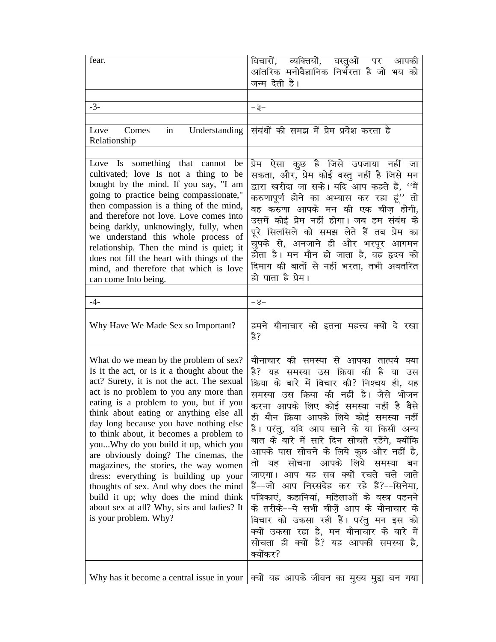| fear.                                                                                                                                                                                                                                                                                                                                                                                                                                                                                                                                                                                                                                                                               | विचारों, व्यक्तियों, वस्तुओं पर<br>आपकी<br>आंतरिक मनोवैज्ञानिक निर्भरता है जो भय को<br>जन्म देती है।                                                                                                                                                                                                                                                                                                                                                                                                                                                                                                                                                                                                                                                                            |
|-------------------------------------------------------------------------------------------------------------------------------------------------------------------------------------------------------------------------------------------------------------------------------------------------------------------------------------------------------------------------------------------------------------------------------------------------------------------------------------------------------------------------------------------------------------------------------------------------------------------------------------------------------------------------------------|---------------------------------------------------------------------------------------------------------------------------------------------------------------------------------------------------------------------------------------------------------------------------------------------------------------------------------------------------------------------------------------------------------------------------------------------------------------------------------------------------------------------------------------------------------------------------------------------------------------------------------------------------------------------------------------------------------------------------------------------------------------------------------|
|                                                                                                                                                                                                                                                                                                                                                                                                                                                                                                                                                                                                                                                                                     |                                                                                                                                                                                                                                                                                                                                                                                                                                                                                                                                                                                                                                                                                                                                                                                 |
| $-3-$                                                                                                                                                                                                                                                                                                                                                                                                                                                                                                                                                                                                                                                                               | – इ–                                                                                                                                                                                                                                                                                                                                                                                                                                                                                                                                                                                                                                                                                                                                                                            |
|                                                                                                                                                                                                                                                                                                                                                                                                                                                                                                                                                                                                                                                                                     |                                                                                                                                                                                                                                                                                                                                                                                                                                                                                                                                                                                                                                                                                                                                                                                 |
| Comes<br>Love<br>in<br>Relationship                                                                                                                                                                                                                                                                                                                                                                                                                                                                                                                                                                                                                                                 | Understanding संबंधों की समझ में प्रेम प्रवेश करता है                                                                                                                                                                                                                                                                                                                                                                                                                                                                                                                                                                                                                                                                                                                           |
|                                                                                                                                                                                                                                                                                                                                                                                                                                                                                                                                                                                                                                                                                     |                                                                                                                                                                                                                                                                                                                                                                                                                                                                                                                                                                                                                                                                                                                                                                                 |
| Love Is something that cannot be<br>cultivated; love Is not a thing to be<br>bought by the mind. If you say, "I am<br>going to practice being compassionate,"<br>then compassion is a thing of the mind,<br>and therefore not love. Love comes into<br>being darkly, unknowingly, fully, when<br>we understand this whole process of<br>relationship. Then the mind is quiet; it<br>does not fill the heart with things of the<br>mind, and therefore that which is love<br>can come Into being.                                                                                                                                                                                    | प्रेम ऐसा कुछ है जिसे उपजाया नहीं<br>जा<br>सकता, और, प्रेम कोई वस्तु नहीं है जिसे मन<br>द्वारा खरीदा जा सके। यदि आप कहते हैं, ''मैं<br>करुणापूर्ण होने का अभ्यास कर रहा हूं'' तो<br>वह करुणा आपके मन की एक चीज़ होगी,<br>उसमें कोई प्रेम नहीं होगा। जब हम संबंध के<br>पूरे सिलसिले को समझ लेते हैं तब प्रेम का<br>चुपके से, अनजाने ही और भरपूर आगमन<br>होता है। मन मौन हो जाता है, वह हृदय को<br>दिमाग की बातों से नहीं भरता, तभी अवतरित<br>हो पाता है प्रेम।                                                                                                                                                                                                                                                                                                                   |
| $-4-$                                                                                                                                                                                                                                                                                                                                                                                                                                                                                                                                                                                                                                                                               |                                                                                                                                                                                                                                                                                                                                                                                                                                                                                                                                                                                                                                                                                                                                                                                 |
|                                                                                                                                                                                                                                                                                                                                                                                                                                                                                                                                                                                                                                                                                     | -8-                                                                                                                                                                                                                                                                                                                                                                                                                                                                                                                                                                                                                                                                                                                                                                             |
| Why Have We Made Sex so Important?                                                                                                                                                                                                                                                                                                                                                                                                                                                                                                                                                                                                                                                  | हमने यौनाचार को इतना महत्त्व क्यों दे रखा<br>हे?                                                                                                                                                                                                                                                                                                                                                                                                                                                                                                                                                                                                                                                                                                                                |
| What do we mean by the problem of sex?<br>Is it the act, or is it a thought about the<br>act? Surety, it is not the act. The sexual<br>act is no problem to you any more than<br>eating is a problem to you, but if you<br>think about eating or anything else all<br>day long because you have nothing else<br>to think about, it becomes a problem to<br>youWhy do you build it up, which you<br>are obviously doing? The cinemas, the<br>magazines, the stories, the way women<br>dress: everything is building up your<br>thoughts of sex. And why does the mind<br>build it up; why does the mind think<br>about sex at all? Why, sirs and ladies? It<br>is your problem. Why? | यौनाचार की समस्या से आपका तात्पर्य क्या<br>समस्या उस क्रिया<br>की है<br>हे? यह<br>या<br>उस<br>क्रिया के बारे में विचार की? निश्चय ही, यह<br>समस्या उस क्रिया की नहीं है। जैसे भोजन<br>करना आपके लिए कोई समस्या नहीं है वैसे<br>ही यौन क्रिया आपके लिये कोई समस्या नहीं<br>है। परंतु, यदि आप खाने के या किसी अन्य<br>बात के बारे में सारे दिन सोचते रहेंगे, क्योंकि<br>आपके पास सोचने के लिये कुछ और नहीं है,<br>यह सोचना आपके लिये समस्या<br>तो<br>बन<br>जाएगा। आप यह सब क्यों रचते चले जाते<br>हैं--जो आप निस्संदेह कर रहे हैं?--सिनेमा,<br>पत्रिकाएं, कहानियां, महिलाओं के वस्त्र पहनने<br>के तरीके--ये सभी चीजें आप के यौनाचार के<br>विचार को उकसा रही हैं। परंतु मन इस को<br>क्यों उकसा रहा है, मन यौनाचार के बारे में<br>सोचता ही क्यों है? यह आपकी समस्या है,<br>क्योंकर? |
|                                                                                                                                                                                                                                                                                                                                                                                                                                                                                                                                                                                                                                                                                     | Why has it become a central issue in your   क्यों यह आपके जीवन का मुख्य मुद्दा बन गया                                                                                                                                                                                                                                                                                                                                                                                                                                                                                                                                                                                                                                                                                           |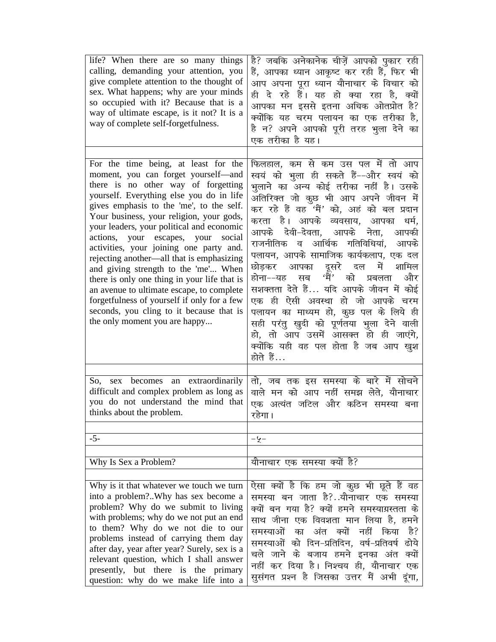| life? When there are so many things<br>calling, demanding your attention, you<br>give complete attention to the thought of<br>sex. What happens; why are your minds<br>so occupied with it? Because that is a<br>way of ultimate escape, is it not? It is a<br>way of complete self-forgetfulness.                                                                                                                                                                                                                                                                                                                                                         | है? जबकि अनेकानेक चीज़ें आपको पुकार रही<br>हैं, आपका ध्यान आकृष्ट कर रही हैं, फिर भी<br>आप अपना पूरा ध्यान यौनाचार के विचार को<br>ही दे रहे हैं। यह हो क्या रहा है, क्यों<br>आपका मन इससे इतना अधिक ओतप्रोत है?<br>क्योंकि यह चरम पलायन का एक तरीका है,<br>है न? अपने आपको पूरी तरह भुला देने का<br>एक तरीका है यह।                                                                                                                                                                                                                                                                                                                                                                 |
|------------------------------------------------------------------------------------------------------------------------------------------------------------------------------------------------------------------------------------------------------------------------------------------------------------------------------------------------------------------------------------------------------------------------------------------------------------------------------------------------------------------------------------------------------------------------------------------------------------------------------------------------------------|-------------------------------------------------------------------------------------------------------------------------------------------------------------------------------------------------------------------------------------------------------------------------------------------------------------------------------------------------------------------------------------------------------------------------------------------------------------------------------------------------------------------------------------------------------------------------------------------------------------------------------------------------------------------------------------|
| For the time being, at least for the                                                                                                                                                                                                                                                                                                                                                                                                                                                                                                                                                                                                                       | फिलहाल, कम से कम उस पल में तो आप                                                                                                                                                                                                                                                                                                                                                                                                                                                                                                                                                                                                                                                    |
| moment, you can forget yourself-and<br>there is no other way of forgetting<br>yourself. Everything else you do in life<br>gives emphasis to the 'me', to the self.<br>Your business, your religion, your gods,<br>your leaders, your political and economic<br>actions, your escapes, your social<br>activities, your joining one party and.<br>rejecting another—all that is emphasizing<br>and giving strength to the 'me' When<br>there is only one thing in your life that is<br>an avenue to ultimate escape, to complete<br>forgetfulness of yourself if only for a few<br>seconds, you cling to it because that is<br>the only moment you are happy | स्वयं को भुला ही सकते हैं--और स्वयं को<br>भुलाने का अन्य कोई तरीका नहीं है। उसके<br>अतिरिक्त जो कुछ भी आप अपने जीवन <mark>में</mark><br>कर रहे हैं वह 'मैं' को, अहं को बल प्रदान<br>करता है। आपके व्यवसाय, आपका<br>धर्म,<br>आपके देवी-देवता, आपके नेता, आपकी<br>राजनीतिक व आर्थिक गतिविधियां, आपके<br>पलायन, आपके सामाजिक कार्यकलाप, एक दल<br>छोड़कर आपका दूसरे दल में<br>शामिल<br>होना--यह सब 'मैं' को प्रबलता<br>और<br>सशक्तता देते हैं यदि आपके जीवन में कोई<br>एक ही ऐसी अवस्था हो जो आपके चरम<br>पलायन का माध्यम हो, कुछ पल के लिये ही<br>सही परंतु खुदी को पूर्णतया भुला देने वाली<br>हो, तो आप उसमें आसक्त हो ही जाएंगे,<br>क्योंकि यही वह पल होता है जब आप खुश<br>होते हैं… |
| So, sex becomes an extraordinarily                                                                                                                                                                                                                                                                                                                                                                                                                                                                                                                                                                                                                         | तो, जब तक इस समस्या के बारे में सोचने                                                                                                                                                                                                                                                                                                                                                                                                                                                                                                                                                                                                                                               |
| difficult and complex problem as long as<br>you do not understand the mind that<br>thinks about the problem.                                                                                                                                                                                                                                                                                                                                                                                                                                                                                                                                               | वाले मन को आप नहीं समझ लेते, यौनाचार<br>एक अत्यंत जटिल और कठिन समस्या बना<br>रहेगा ।                                                                                                                                                                                                                                                                                                                                                                                                                                                                                                                                                                                                |
| $-5-$                                                                                                                                                                                                                                                                                                                                                                                                                                                                                                                                                                                                                                                      | -५-                                                                                                                                                                                                                                                                                                                                                                                                                                                                                                                                                                                                                                                                                 |
|                                                                                                                                                                                                                                                                                                                                                                                                                                                                                                                                                                                                                                                            |                                                                                                                                                                                                                                                                                                                                                                                                                                                                                                                                                                                                                                                                                     |
| Why Is Sex a Problem?                                                                                                                                                                                                                                                                                                                                                                                                                                                                                                                                                                                                                                      | यौनाचार एक समस्या क्यों है?                                                                                                                                                                                                                                                                                                                                                                                                                                                                                                                                                                                                                                                         |
|                                                                                                                                                                                                                                                                                                                                                                                                                                                                                                                                                                                                                                                            |                                                                                                                                                                                                                                                                                                                                                                                                                                                                                                                                                                                                                                                                                     |
| Why is it that whatever we touch we turn<br>into a problem?Why has sex become a<br>problem? Why do we submit to living<br>with problems; why do we not put an end<br>to them? Why do we not die to our<br>problems instead of carrying them day<br>after day, year after year? Surely, sex is a<br>relevant question, which I shall answer<br>presently, but there is the primary<br>question: why do we make life into a                                                                                                                                                                                                                                  | ऐसा क्यों है कि हम जो कुछ भी छूते हैं वह<br>समस्या बन जाता है?यौनाचार एक समस्या<br>क्यों बन गया है? क्यों हमने समस्याग्रस्तता के<br>साथ जीना एक विवशता मान लिया है, हमने<br>समस्याओं<br>क्यों<br>नहीं<br>का<br>अंत<br>किया<br>हे?<br>समस्याओं को दिन–प्रतिदिन, वर्ष–प्रतिवर्ष<br>ढोये<br>चले जाने के बजाय हमने इनका अंत<br>क्यों<br>नहीं कर दिया है। निश्चय ही, यौनाचार एक<br>सुसंगत प्रश्न है जिसका उत्तर मैं अभी दूंगा,                                                                                                                                                                                                                                                           |